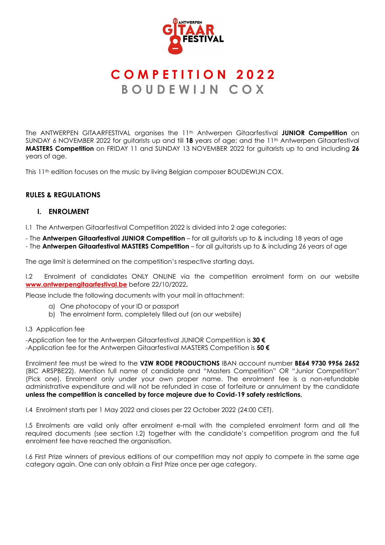

# **C O M P E T I T I O N 2 0 2 2 B O U D E W I J N C O X**

The ANTWERPEN GITAARFESTIVAL organises the 11th Antwerpen Gitaarfestival **JUNIOR Competition** on SUNDAY 6 NOVEMBER 2022 for guitarists up and till **18** years of age; and the 11th Antwerpen Gitaarfestival **MASTERS Competition** on FRIDAY 11 and SUNDAY 13 NOVEMBER 2022 for guitarists up to and including **26** years of age.

This 11<sup>th</sup> edition focuses on the music by living Belgian composer BOUDEWIJN COX.

# **RULES & REGULATIONS**

## **I. ENROLMENT**

I.1 The Antwerpen Gitaarfestival Competition 2022 is divided into 2 age categories:

- The **Antwerpen Gitaarfestival JUNIOR Competition** – for all guitarists up to & including 18 years of age

- The **Antwerpen Gitaarfestival MASTERS Competition** – for all guitarists up to & including 26 years of age

The age limit is determined on the competition's respective starting days.

I.2 Enrolment of candidates ONLY ONLINE via the competition enrolment form on our website **[www.antwerpengitaarfestival.be](mailto:wedstrijd@antwerpengitaarfestival.be)** before 22/10/2022**.**

Please include the following documents with your mail in attachment:

- a) One photocopy of your ID or passport
- b) The enrolment form, completely filled out (on our website)

#### I.3 Application fee

-Application fee for the Antwerpen Gitaarfestival JUNIOR Competition is **30 €** -Application fee for the Antwerpen Gitaarfestival MASTERS Competition is **50 €**

Enrolment fee must be wired to the **VZW RODE PRODUCTIONS** IBAN account number **BE64 9730 9956 2652** (BIC ARSPBE22). Mention full name of candidate and "Masters Competition" OR "Junior Competition" (Pick one). Enrolment only under your own proper name. The enrolment fee is a non-refundable administrative expenditure and will not be refunded in case of forfeiture or annulment by the candidate **unless the competition is cancelled by force majeure due to Covid-19 safety restrictions.**

I.4 Enrolment starts per 1 May 2022 and closes per 22 October 2022 (24:00 CET).

I.5 Enrolments are valid only after enrolment e-mail with the completed enrolment form and all the required documents (see section I.2) together with the candidate's competition program and the full enrolment fee have reached the organisation.

I.6 First Prize winners of previous editions of our competition may not apply to compete in the same age category again. One can only obtain a First Prize once per age category.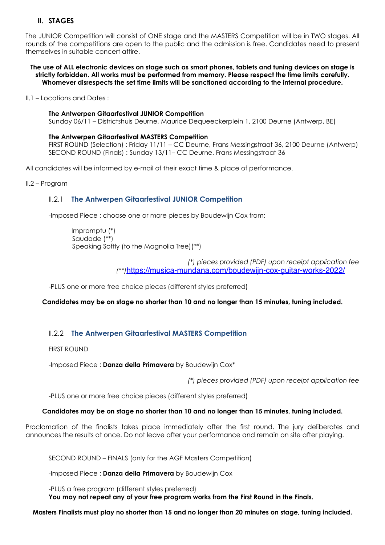# **II. STAGES**

The JUNIOR Competition will consist of ONE stage and the MASTERS Competition will be in TWO stages. All rounds of the competitions are open to the public and the admission is free. Candidates need to present themselves in suitable concert attire.

**The use of ALL electronic devices on stage such as smart phones, tablets and tuning devices on stage is strictly forbidden. All works must be performed from memory. Please respect the time limits carefully. Whomever disrespects the set time limits will be sanctioned according to the internal procedure.**

II.1 – Locations and Dates :

## **The Antwerpen Gitaarfestival JUNIOR Competition**

Sunday 06/11 – Districtshuis Deurne, Maurice Dequeeckerplein 1, 2100 Deurne (Antwerp, BE)

#### **The Antwerpen Gitaarfestival MASTERS Competition**

FIRST ROUND (Selection) : Friday 11/11 – CC Deurne, Frans Messingstraat 36, 2100 Deurne (Antwerp) SECOND ROUND (Finals) : Sunday 13/11– CC Deurne, Frans Messingstraat 36

All candidates will be informed by e-mail of their exact time & place of performance.

II.2 – Program

## II.2.1 **The Antwerpen Gitaarfestival JUNIOR Competition**

-Imposed Piece : choose one or more pieces by Boudewijn Cox from:

Impromptu (\*) Saudade (\*\*) Speaking Softly (to the Magnolia Tree)(\*\*)

> *(\*) pieces provided (PDF) upon receipt application fee (\*\*)*<https://musica-mundana.com/boudewijn-cox-guitar-works-2022/>

-PLUS one or more free choice pieces (different styles preferred)

**Candidates may be on stage no shorter than 10 and no longer than 15 minutes, tuning included.**

# II.2.2 **The Antwerpen Gitaarfestival MASTERS Competition**

FIRST ROUND

-Imposed Piece : **Danza della Primavera** by Boudewijn Cox\*

*(\*) pieces provided (PDF) upon receipt application fee* 

-PLUS one or more free choice pieces (different styles preferred)

## **Candidates may be on stage no shorter than 10 and no longer than 15 minutes, tuning included.**

Proclamation of the finalists takes place immediately after the first round. The jury deliberates and announces the results at once. Do not leave after your performance and remain on site after playing.

SECOND ROUND – FINALS (only for the AGF Masters Competition)

-Imposed Piece : **Danza della Primavera** by Boudewijn Cox

-PLUS a free program (different styles preferred) **You may not repeat any of your free program works from the First Round in the Finals.** 

**Masters Finalists must play no shorter than 15 and no longer than 20 minutes on stage, tuning included.**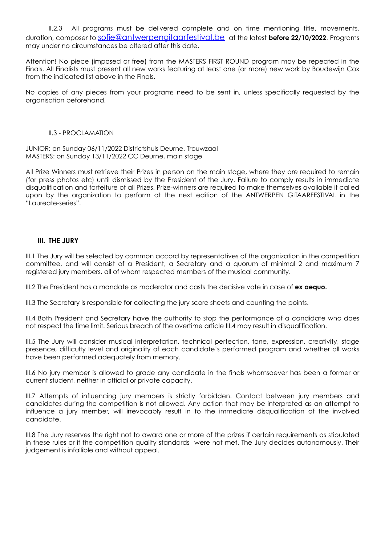II.2.3 All programs must be delivered complete and on time mentioning title, movements, duration, composer to [sofie@antwerpengitaarfestival.be](mailto:sofie@antwerpengitaarfestival.be) at the latest **before 22/10/2022**. Programs may under no circumstances be altered after this date.

Attention! No piece (imposed or free) from the MASTERS FIRST ROUND program may be repeated in the Finals. All Finalists must present all new works featuring at least one (or more) new work by Boudewijn Cox from the indicated list above in the Finals.

No copies of any pieces from your programs need to be sent in, unless specifically requested by the organisation beforehand.

## II.3 - PROCLAMATION

JUNIOR: on Sunday 06/11/2022 Districtshuis Deurne, Trouwzaal MASTERS: on Sunday 13/11/2022 CC Deurne, main stage

All Prize Winners must retrieve their Prizes in person on the main stage, where they are required to remain (for press photos etc) until dismissed by the President of the Jury. Failure to comply results in immediate disqualification and forfeiture of all Prizes. Prize-winners are required to make themselves available if called upon by the organization to perform at the next edition of the ANTWERPEN GITAARFESTIVAL in the "Laureate-series".

## **III. THE JURY**

III.1 The Jury will be selected by common accord by representatives of the organization in the competition committee, and will consist of a President, a Secretary and a quorum of minimal 2 and maximum 7 registered jury members, all of whom respected members of the musical community.

III.2 The President has a mandate as moderator and casts the decisive vote in case of **ex aequo.** 

III.3 The Secretary is responsible for collecting the jury score sheets and counting the points.

III.4 Both President and Secretary have the authority to stop the performance of a candidate who does not respect the time limit. Serious breach of the overtime article III.4 may result in disqualification.

III.5 The Jury will consider musical interpretation, technical perfection, tone, expression, creativity, stage presence, difficulty level and originality of each candidate's performed program and whether all works have been performed adequately from memory.

III.6 No jury member is allowed to grade any candidate in the finals whomsoever has been a former or current student, neither in official or private capacity.

III.7 Attempts of influencing jury members is strictly forbidden. Contact between jury members and candidates during the competition is not allowed. Any action that may be interpreted as an attempt to influence a jury member, will irrevocably result in to the immediate disqualification of the involved candidate.

III.8 The Jury reserves the right not to award one or more of the prizes if certain requirements as stipulated in these rules or if the competition quality standards were not met. The Jury decides autonomously. Their judgement is infallible and without appeal.